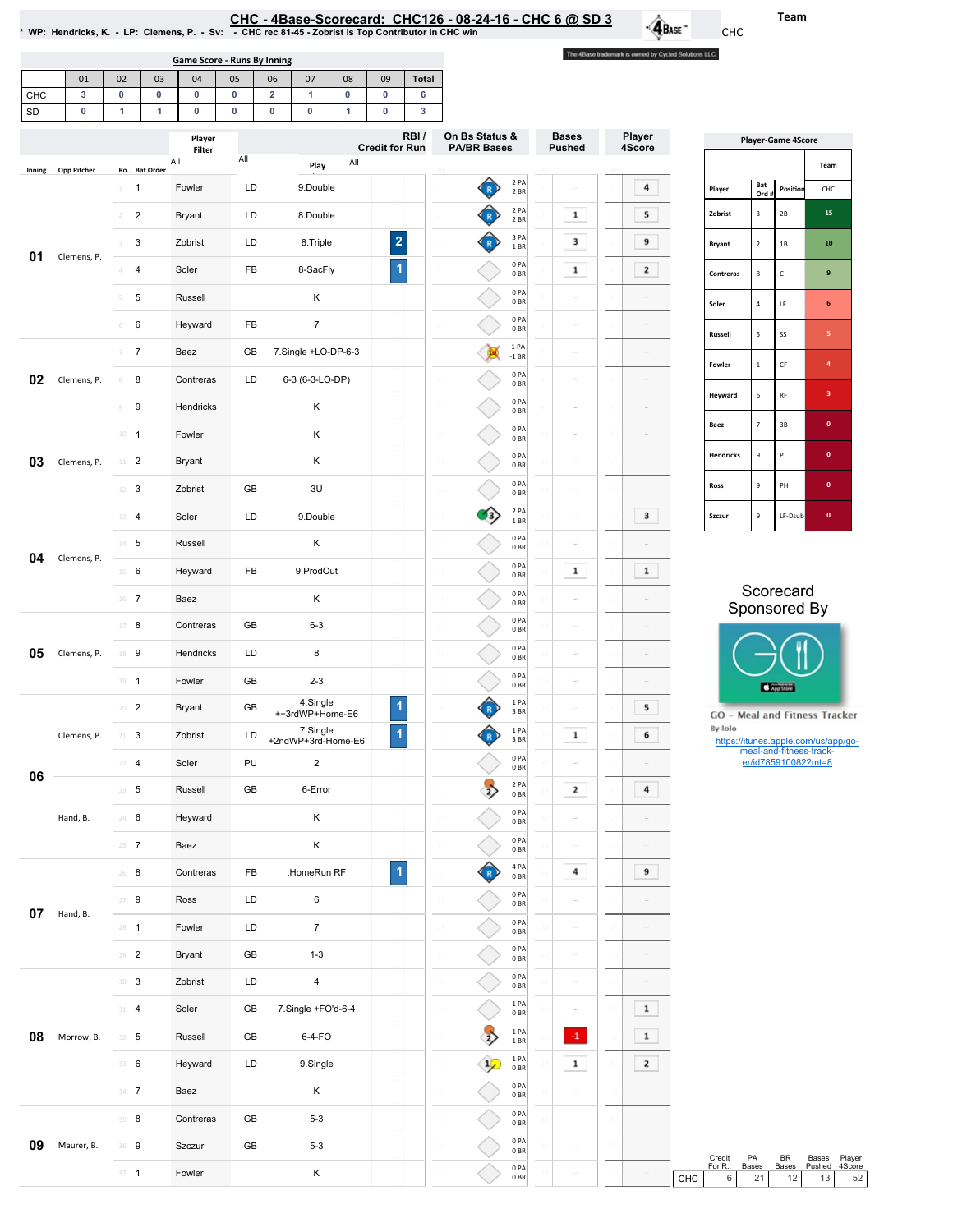| CHC - 4Base-Scorecard: CHC126 - 08-24-16 - CHC 6 @ SD 3                                             |
|-----------------------------------------------------------------------------------------------------|
| NP: Hendricks, K. - LP: Clemens, P. - Sv: - CHC rec 81-45 - Zobrist is Top Contributor in CHC win * |

 $\hat{\mathbf{A}}_{\text{Base}}$ 

|           |                    |                                            |                | <b>Game Score - Runs By Inning</b> |                |                  |                                  |                |                         |              |    |                                      |                         |                               |                  | The 4Base trademark is owned by Cycled Solutions LLC. |
|-----------|--------------------|--------------------------------------------|----------------|------------------------------------|----------------|------------------|----------------------------------|----------------|-------------------------|--------------|----|--------------------------------------|-------------------------|-------------------------------|------------------|-------------------------------------------------------|
|           | 01                 | 02                                         | 03             | 04                                 | 05             | 06               | 07                               | 08             | 09                      | <b>Total</b> |    |                                      |                         |                               |                  |                                                       |
| CHC<br>SD | 3<br>0             | 0<br>1                                     | $\pmb{0}$<br>1 | $\pmb{0}$<br>0                     | $\pmb{0}$<br>0 | $\mathbf 2$<br>0 | 1<br>0                           | $\pmb{0}$<br>1 | $\pmb{0}$<br>0          | 6<br>3       |    |                                      |                         |                               |                  |                                                       |
|           |                    |                                            |                | Player<br>Filter                   | All            |                  |                                  |                | <b>Credit for Run</b>   | RBI/         |    | On Bs Status &<br><b>PA/BR Bases</b> |                         | <b>Bases</b><br><b>Pushed</b> | Player<br>4Score |                                                       |
| Inning    | <b>Opp Pitcher</b> |                                            | Ro Bat Order   | All                                |                |                  | Play                             | All            |                         |              |    |                                      |                         |                               |                  |                                                       |
|           |                    | $\perp$<br>1                               |                | Fowler                             | LD             |                  | 9.Double                         |                |                         |              |    |                                      | 2 PA<br>2 BR            |                               | 4                | Pla                                                   |
|           |                    | $\overline{\mathbf{c}}$<br>$\overline{2}$  |                | Bryant                             | LD             |                  | 8.Double                         |                |                         |              |    |                                      | 2 PA<br>2 BR            | 1                             | 5                | Zol                                                   |
| 01        | Clemens, P.        | 3<br>3                                     |                | Zobrist                            | LD             |                  | 8.Triple                         |                | $\overline{\mathbf{c}}$ |              |    |                                      | 3 PA<br>1BR             | з                             | 9                | Βη                                                    |
|           |                    | 4<br>4                                     |                | Soler                              | FB             |                  | 8-SacFly                         |                | 1                       |              |    |                                      | 0PA<br>0 <sub>BR</sub>  | 1                             | 2                | Co                                                    |
|           |                    | 5<br>5                                     |                | Russell                            |                |                  | Κ                                |                |                         |              |    |                                      | 0PA<br>0 <sub>BR</sub>  | Ġ.                            |                  | Sol                                                   |
|           |                    | 6<br>6                                     |                | Heyward                            | FB             |                  | $\boldsymbol{7}$                 |                |                         |              |    |                                      | 0PA<br>0 <sub>BR</sub>  | $\bar{m}$                     |                  | Ru                                                    |
|           |                    | $\overline{7}$<br>$\overline{\mathcal{I}}$ |                | Baez                               | GB             |                  | 7.Single +LO-DP-6-3              |                |                         |              |    |                                      | 1 PA<br>$-1$ BR         |                               |                  | Fo                                                    |
| 02        | Clemens, P.        | 8<br>8                                     |                | Contreras                          | LD             |                  | 6-3 (6-3-LO-DP)                  |                |                         |              |    |                                      | 0PA<br>0 <sub>BR</sub>  | $\bar{m}$                     |                  |                                                       |
|           |                    | 9<br>9                                     |                | Hendricks                          |                |                  | Κ                                |                |                         |              |    |                                      | 0PA<br>0 <sub>BR</sub>  | c.                            |                  | He                                                    |
|           |                    | $10 -$<br>$\overline{1}$                   |                | Fowler                             |                |                  | Κ                                |                |                         |              | 10 |                                      | 0PA<br>0 <sub>BR</sub>  | $\sim$                        |                  | Ba                                                    |
| 03        | Clemens, P.        | $\overline{c}$<br>$11 -$                   |                | Bryant                             |                |                  | Κ                                |                |                         |              |    |                                      | 0PA<br>0 <sub>BR</sub>  | G                             |                  | He                                                    |
|           |                    | 3<br>12                                    |                | Zobrist                            | GB             |                  | 3U                               |                |                         |              |    |                                      | 0PA<br>0 <sub>BR</sub>  | $\sim$                        |                  | Ro                                                    |
|           |                    | 13<br>$\overline{4}$                       |                | Soler                              | LD             |                  | 9.Double                         |                |                         |              |    | ß)                                   | 2 PA<br>1 BR            | $\sim$                        | 3                | <b>Szc</b>                                            |
|           |                    | 5<br>$14 -$                                |                | Russell                            |                |                  | Κ                                |                |                         |              |    |                                      | 0PA<br>0 <sub>BR</sub>  |                               |                  |                                                       |
| 04        | Clemens, P.        | 6<br>$15 -$                                |                | Heyward                            | FB             |                  | 9 ProdOut                        |                |                         |              |    |                                      | 0PA<br>0 <sub>BR</sub>  | 1                             | $\mathbf{1}$     |                                                       |
|           |                    | $16$ 7                                     |                | Baez                               |                |                  | Κ                                |                |                         |              | 16 |                                      | 0PA<br>0 <sub>BR</sub>  |                               |                  |                                                       |
|           |                    | 8<br>17                                    |                | Contreras                          | GB             |                  | $6 - 3$                          |                |                         |              |    |                                      | 0PA<br>0 <sub>BR</sub>  | G                             |                  |                                                       |
| 05        | Clemens, P.        | 18 9                                       |                | Hendricks                          | LD             |                  | 8                                |                |                         |              | 18 |                                      | 0PA                     |                               |                  |                                                       |
|           |                    | 19 1                                       |                | Fowler                             | GB             |                  | $2 - 3$                          |                |                         |              |    |                                      | 0 <sub>BR</sub><br>0PA  | ŵ                             |                  |                                                       |
|           |                    | $\overline{2}$<br>20                       |                | <b>Bryant</b>                      | GB             |                  | 4.Single                         |                | 1                       |              |    |                                      | 0 <sub>BR</sub><br>1 PA | G                             | 5                |                                                       |
|           | Clemens, P.        | 3<br>$21 -$                                |                | Zobrist                            | LD             |                  | ++3rdWP+Home-E6<br>7.Single      |                | 1                       |              |    |                                      | 3BR<br>1PA              | 1                             | 6                | G<br>By                                               |
|           |                    | $22 - 4$                                   |                | Soler                              | PU             |                  | +2ndWP+3rd-Home-E6<br>$\sqrt{2}$ |                |                         |              |    |                                      | 3 BR<br>0PA             |                               |                  | ł                                                     |
| 06        |                    | 5                                          |                | Russell                            | GB             |                  | 6-Error                          |                |                         |              |    |                                      | 0 <sub>BR</sub><br>2 PA | $\mathbf{z}$                  | 4                |                                                       |
|           |                    | 23                                         |                |                                    |                |                  |                                  |                |                         |              |    |                                      | 0BR<br>0PA              |                               |                  |                                                       |
|           | Hand, B.           | 6<br>24                                    |                | Heyward                            |                |                  | Κ                                |                |                         |              |    |                                      | 0 <sub>BR</sub><br>0PA  |                               |                  |                                                       |
|           |                    | $25 \t 7$                                  |                | Baez                               |                |                  | Κ                                |                |                         |              |    |                                      | 0 <sub>BR</sub><br>4 PA | $\bar{a}$                     |                  |                                                       |
|           |                    | $26$ 8                                     |                | Contreras                          | FB             |                  | .HomeRun RF                      |                | 1                       |              | 26 |                                      | 0 <sub>BR</sub><br>0PA  | 4                             | 9                |                                                       |
| 07        | Hand, B.           | 9<br>27                                    |                | Ross                               | LD             |                  | $\,6$                            |                |                         |              |    |                                      | 0 <sub>BR</sub>         | $\bar{\omega}$                |                  |                                                       |
|           |                    | $28 - 1$                                   |                | Fowler                             | LD             |                  | $\boldsymbol{7}$                 |                |                         |              | 28 |                                      | 0PA<br>0 <sub>BR</sub>  | $\bar{t}$                     |                  |                                                       |
|           |                    | $29 - 2$                                   |                | <b>Bryant</b>                      | GB             |                  | $1 - 3$                          |                |                         |              | 29 |                                      | 0PA<br>0 <sub>BR</sub>  | $\sim$                        |                  |                                                       |
|           |                    | $\mathbf{3}$<br>30                         |                | Zobrist                            | LD             |                  | $\pmb{4}$                        |                |                         |              | 30 |                                      | 0PA<br>0 <sub>BR</sub>  | ÷                             |                  |                                                       |
|           |                    | 31 4                                       |                | Soler                              | GB             |                  | 7.Single +FO'd-6-4               |                |                         |              | 31 |                                      | 1 PA<br>0 <sub>BR</sub> | $\bar{m}$                     | 1                |                                                       |
| 08        | Morrow, B.         | $32 - 5$                                   |                | Russell                            | GB             |                  | 6-4-FO                           |                |                         |              |    |                                      | 1PA<br>1 BR             | $-1$                          | 1                |                                                       |
|           |                    | 33 6                                       |                | Heyward                            | LD             |                  | 9.Single                         |                |                         |              |    |                                      | 1 PA<br>0 <sub>BR</sub> | 1                             | 2                |                                                       |
|           |                    | $34 \t 7$                                  |                | Baez                               |                |                  | Κ                                |                |                         |              |    |                                      | 0PA<br>0 <sub>BR</sub>  | $\bar{\omega}$                |                  |                                                       |
|           |                    | 35 8                                       |                | Contreras                          | GB             |                  | $5 - 3$                          |                |                         |              |    |                                      | 0PA<br>0 <sub>BR</sub>  | ÷                             |                  |                                                       |
| 09        | Maurer, B.         | 36 9                                       |                | Szczur                             | GB             |                  | $5 - 3$                          |                |                         |              |    |                                      | 0PA<br>0B               |                               |                  |                                                       |

37

0PA 0BR

37

37

37 1 Fowler K

ayer Bat<br>Ord # <sub>#</sub> Positi Team CHC brist  $3 \nvert 3$  2B yant  $\begin{array}{|c|c|c|c|}\n\hline\n2 & 1B\n\end{array}$ ntreras  $8 \mid 8 \mid c$  $\begin{array}{|c|c|c|c|}\n\hline\n\end{array}$  $\begin{array}{c|c|c|c|c} \n\hline\n\text{ssell} & 5 & \text{ss} \n\end{array}$ wler  $\begin{vmatrix} 1 \end{vmatrix}$  CF eyward  $6$  RF  $\begin{array}{c|c} \n\end{array}$  Pez  $\begin{array}{c|c} \n\end{array}$  7  $\begin{array}{c|c} \n\end{array}$  3B  $endricks$  9 P Ross 9 PH czur 9 LF-Dsub 10 9 6 Player-Game 4Score

### Scorecard Sponsored By



O - Meal and Fitness Tracker lolo

https://itunes.apple.com/us/app/go-meal-and-fitness-track-er/id785910082?mt=8

Team

CHC

Credit ForR.. PA Bases BR Bases Credit PA BR Bases Player<br>
For R... Bases Bases Pushed 4Score<br>
CHC 6 21 12 13 52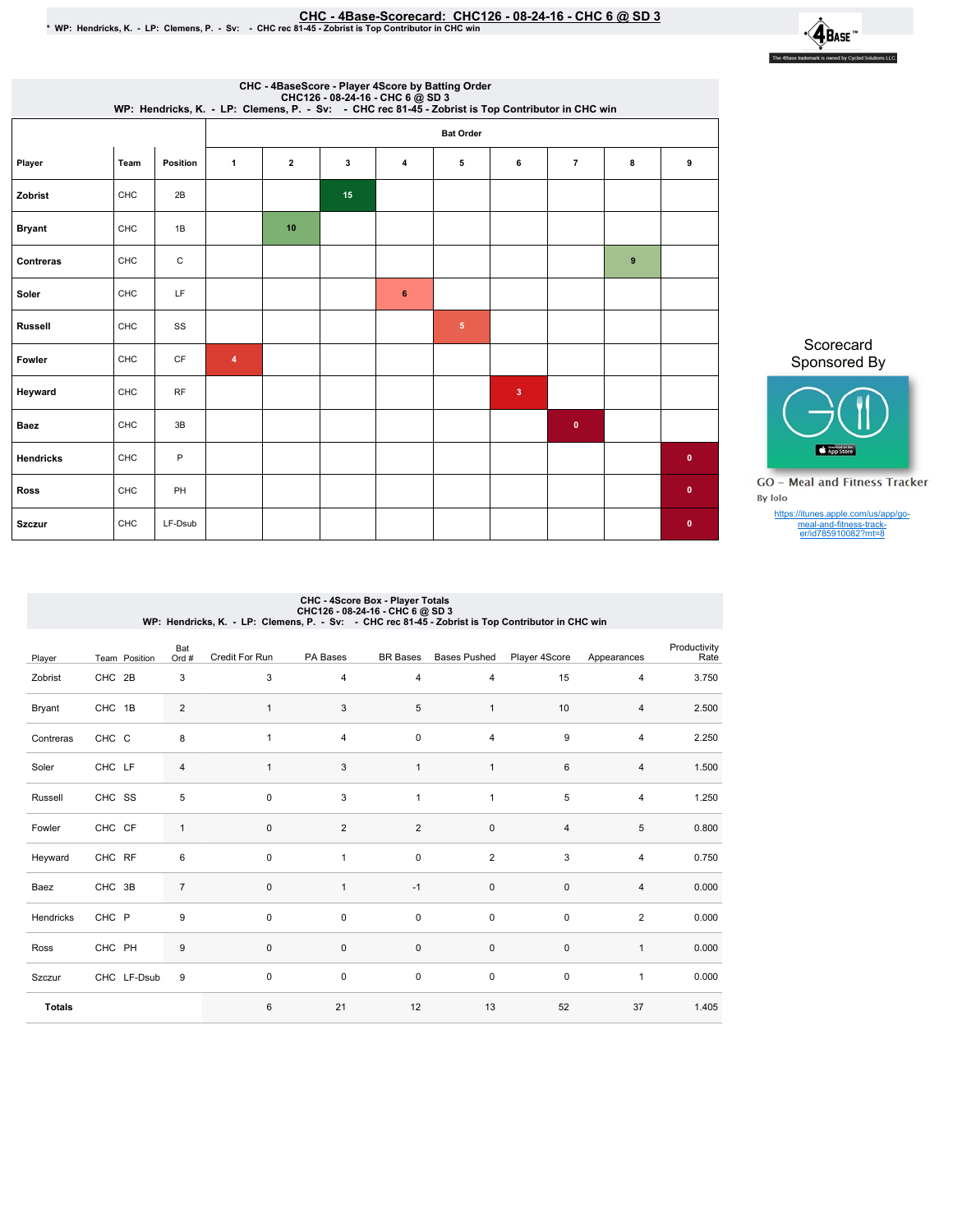## EHC-4Base-Scorecard: CHC126 - 08-24-16 - CHC 6 @ SD 3<br>\* WP: Hendricks, K. - LP: Clemens, P. - Sv: - CHC rec 81-45-Zobrist is Top Contributor in CHC win

 $\cdot \mathbf{Q}_{\text{Base}}$ The 4Base trademark is own ed by Cycled Solutions LLC.

|                  |      |              |                  |                         |    | CHC - 4BaseScore - Player 4Score by Batting Order<br>CHC126 - 08-24-16 - CHC 6 @ SD 3<br>WP: Hendricks, K. - LP: Clemens, P. - Sv: - CHC rec 81-45 - Zobrist is Top Contributor in CHC win |                |                         |                |                |             |  |
|------------------|------|--------------|------------------|-------------------------|----|--------------------------------------------------------------------------------------------------------------------------------------------------------------------------------------------|----------------|-------------------------|----------------|----------------|-------------|--|
|                  |      |              | <b>Bat Order</b> |                         |    |                                                                                                                                                                                            |                |                         |                |                |             |  |
| Player           | Team | Position     | $\mathbf{1}$     | $\overline{\mathbf{2}}$ | 3  | 4                                                                                                                                                                                          | 5              | 6                       | $\overline{7}$ | 8              | 9           |  |
| Zobrist          | CHC  | 2B           |                  |                         | 15 |                                                                                                                                                                                            |                |                         |                |                |             |  |
| <b>Bryant</b>    | CHC  | 1B           |                  | 10                      |    |                                                                                                                                                                                            |                |                         |                |                |             |  |
| Contreras        | CHC  | $\mathtt{C}$ |                  |                         |    |                                                                                                                                                                                            |                |                         |                | $\overline{9}$ |             |  |
| Soler            | CHC  | LF           |                  |                         |    | 6                                                                                                                                                                                          |                |                         |                |                |             |  |
| <b>Russell</b>   | CHC  | SS           |                  |                         |    |                                                                                                                                                                                            | 5 <sub>5</sub> |                         |                |                |             |  |
| Fowler           | CHC  | <b>CF</b>    | $\overline{4}$   |                         |    |                                                                                                                                                                                            |                |                         |                |                |             |  |
| Heyward          | CHC  | <b>RF</b>    |                  |                         |    |                                                                                                                                                                                            |                | $\overline{\mathbf{3}}$ |                |                |             |  |
| Baez             | CHC  | 3B           |                  |                         |    |                                                                                                                                                                                            |                |                         | $\pmb{0}$      |                |             |  |
| <b>Hendricks</b> | CHC  | P            |                  |                         |    |                                                                                                                                                                                            |                |                         |                |                | $\mathbf 0$ |  |
| <b>Ross</b>      | CHC  | PH           |                  |                         |    |                                                                                                                                                                                            |                |                         |                |                | $\bullet$   |  |
| <b>Szczur</b>    | CHC  | LF-Dsub      |                  |                         |    |                                                                                                                                                                                            |                |                         |                |                | $\bullet$   |  |



Scorecard

https://itunes.apple.com/us/app/go-meal-and-fitness-track-er/id785910082?mt=8

# CHC - 4Score Box - Player Totals<br>CHC126 - 08-24-16 - CHC2 - 2005<br>WP: Hendricks, K. - LP: Clemens, P. - Sv: - CHC rec 81-45 - Zobrist is Top Contributor in CHC win

| Player        | Team Position | Bat<br>Ord #   | Credit For Run | PA Bases     | <b>BR</b> Bases         | <b>Bases Pushed</b> | Player 4Score  | Appearances    | Productivity<br>Rate |
|---------------|---------------|----------------|----------------|--------------|-------------------------|---------------------|----------------|----------------|----------------------|
| Zobrist       | CHC 2B        | 3              | 3              | 4            | $\overline{\mathbf{4}}$ | 4                   | 15             | $\overline{4}$ | 3.750                |
| Bryant        | CHC 1B        | 2              | $\mathbf{1}$   | 3            | 5                       | $\mathbf{1}$        | 10             | $\overline{4}$ | 2.500                |
| Contreras     | CHC C         | $\bf 8$        | $\mathbf{1}$   | 4            | $\pmb{0}$               | $\overline{4}$      | 9              | 4              | 2.250                |
| Soler         | CHC LF        | $\overline{4}$ | 1              | 3            | $\mathbf{1}$            | $\mathbf{1}$        | $\,6\,$        | 4              | 1.500                |
| Russell       | CHC SS        | 5              | $\mathbf 0$    | 3            | $\mathbf{1}$            | $\mathbf{1}$        | 5              | $\overline{4}$ | 1.250                |
| Fowler        | CHC CF        | $\mathbf{1}$   | 0              | 2            | 2                       | $\pmb{0}$           | $\overline{4}$ | 5              | 0.800                |
| Heyward       | CHC RF        | 6              | 0              | $\mathbf{1}$ | $\pmb{0}$               | 2                   | 3              | $\overline{4}$ | 0.750                |
| Baez          | CHC 3B        | $\overline{7}$ | 0              | $\mathbf{1}$ | $-1$                    | $\pmb{0}$           | $\pmb{0}$      | $\sqrt{4}$     | 0.000                |
| Hendricks     | CHC P         | 9              | 0              | 0            | $\pmb{0}$               | $\pmb{0}$           | $\pmb{0}$      | $\overline{2}$ | 0.000                |
| Ross          | CHC PH        | $9\,$          | 0              | $\pmb{0}$    | $\pmb{0}$               | $\pmb{0}$           | $\pmb{0}$      | $\mathbf{1}$   | 0.000                |
| Szczur        | CHC LF-Dsub   | 9              | $\mathbf 0$    | $\mathbf 0$  | $\pmb{0}$               | $\pmb{0}$           | $\pmb{0}$      | $\mathbf{1}$   | 0.000                |
| <b>Totals</b> |               |                | 6              | 21           | 12                      | 13                  | 52             | 37             | 1.405                |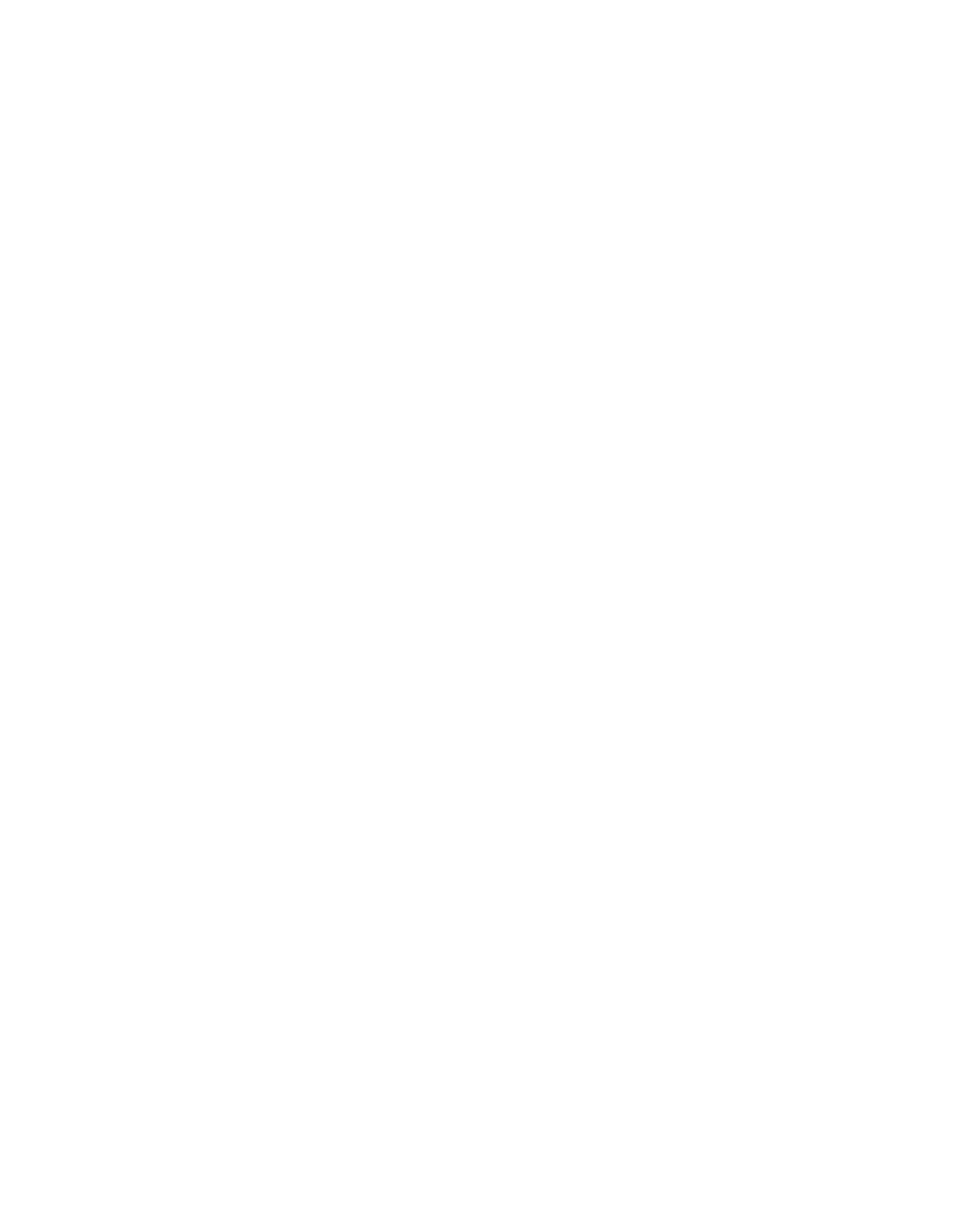|                 |                      |             | $8+8$ %DVH6FRUHFDLG $8+8$                 |  |
|-----------------|----------------------|-------------|-------------------------------------------|--|
| : 3 + HOGULFNV. | $/3$ & CHPHOV $3$ 6Y | $8 + 8$ UHF | $=$ REULWAV 7 RS & ROWLEXWRULQ & + & Z LQ |  |

|            |         | & + & %DVH6FRUH 30D NU 6FRUHE %DWMQJ 2 UGHU<br>$8+8$ $8+8$ # 6'<br>: 3 + HOGUENY. / 3 & OP HOV 3 6Y & + & UHF = REULWAY 7RS & ROMUEXWRULQ & + & ZLQ |           |  |  |  |  |  |  |  |  |  |
|------------|---------|-----------------------------------------------------------------------------------------------------------------------------------------------------|-----------|--|--|--|--|--|--|--|--|--|
|            |         |                                                                                                                                                     | %DW2 UGHU |  |  |  |  |  |  |  |  |  |
| 300 HU     | 7HDP    | 3 RVIMRQ                                                                                                                                            |           |  |  |  |  |  |  |  |  |  |
| $=$ REULWV | $8 + 8$ | $\%$                                                                                                                                                |           |  |  |  |  |  |  |  |  |  |
| %U DOW     | $8 + 8$ | $\%$                                                                                                                                                |           |  |  |  |  |  |  |  |  |  |
| & ROWHUDV  | $8 + 8$ | &                                                                                                                                                   |           |  |  |  |  |  |  |  |  |  |
| 6ROHU      | $8 + 8$ | $\left( \right)$                                                                                                                                    |           |  |  |  |  |  |  |  |  |  |
| 5 XVVHOO   | $8 + 8$ | 66                                                                                                                                                  |           |  |  |  |  |  |  |  |  |  |
| ) RZ OHU   | $8 + 8$ | &)                                                                                                                                                  |           |  |  |  |  |  |  |  |  |  |
| $+HZDUS$   | $8 + 8$ | 5)                                                                                                                                                  |           |  |  |  |  |  |  |  |  |  |
| %DH        | $8 + 8$ | $\%$                                                                                                                                                |           |  |  |  |  |  |  |  |  |  |
| + HOGUENV  | $8 + 8$ | 3                                                                                                                                                   |           |  |  |  |  |  |  |  |  |  |
| 5 RW       | $8 + 8$ | $3+$                                                                                                                                                |           |  |  |  |  |  |  |  |  |  |
| 6] FJ XU   | $8 + 8$ | /) ' VXE                                                                                                                                            |           |  |  |  |  |  |  |  |  |  |

#### 6 FRUHFDLG 6 SROVRUHG%

<u>KWOSV LWACHVDSSORIERP XVDSSJR</u><br>PHDCDCQGILWOHWWDDEN<br>HULG "PW

|                 |               |                        | : $3 + HQGUFW$ . $/3$ & OHP HQV $3$ 6Y | $8 + 8$   | & + & 6 FRUH%R[ 300\HU7RM00Y<br>$8+8$ # 6'<br>$8 + 8$ UF |                                               | $=$ REULWILV 7 RS & ROMMEXWRULQ & + & Z LQ |                     |
|-----------------|---------------|------------------------|----------------------------------------|-----------|----------------------------------------------------------|-----------------------------------------------|--------------------------------------------|---------------------|
| 30MHU           | 7HDP 3RVMLIRQ | %DW<br>$2 \, \text{L}$ | & UHGLIV) RU5 XQ                       | 3\$ %DVHV |                                                          | %5 %DVHV %DVHV3XVKHG 300 HU6FRUH \$SSHDUDQFHV |                                            | 3 URGXFWYUW<br>5 DM |
| $=$ REUMV       | $&+8$ %       |                        |                                        |           |                                                          |                                               |                                            |                     |
| <b>YAJI DOW</b> | $&+8$ %       |                        |                                        |           |                                                          |                                               |                                            |                     |
| & ROWHLIDV      | $8 + 88$      |                        |                                        |           |                                                          |                                               |                                            |                     |
| 6 ROHU          | $8+8$ ()      |                        |                                        |           |                                                          |                                               |                                            |                     |
| 5 XVVHO         | $&+8.66$      |                        |                                        |           |                                                          |                                               |                                            |                     |
| ) RZ OHU        | $& 8 + 8 & 8$ |                        |                                        |           |                                                          |                                               |                                            |                     |
| $+HZDUS$        | $8+8$ 5)      |                        |                                        |           |                                                          |                                               |                                            |                     |
| %DH             | $8+8$ %       |                        |                                        |           |                                                          |                                               |                                            |                     |
| + HQGUENV       | $8 + 8$ 3     |                        |                                        |           |                                                          |                                               |                                            |                     |
| 5 RW            | $8+8$ 3+      |                        |                                        |           |                                                          |                                               |                                            |                     |
| $6$ $H$ XU      | &+& /) ' VXE  |                        |                                        |           |                                                          |                                               |                                            |                     |
| 7RWDOV          |               |                        |                                        |           |                                                          |                                               |                                            |                     |
|                 |               |                        |                                        |           |                                                          |                                               |                                            |                     |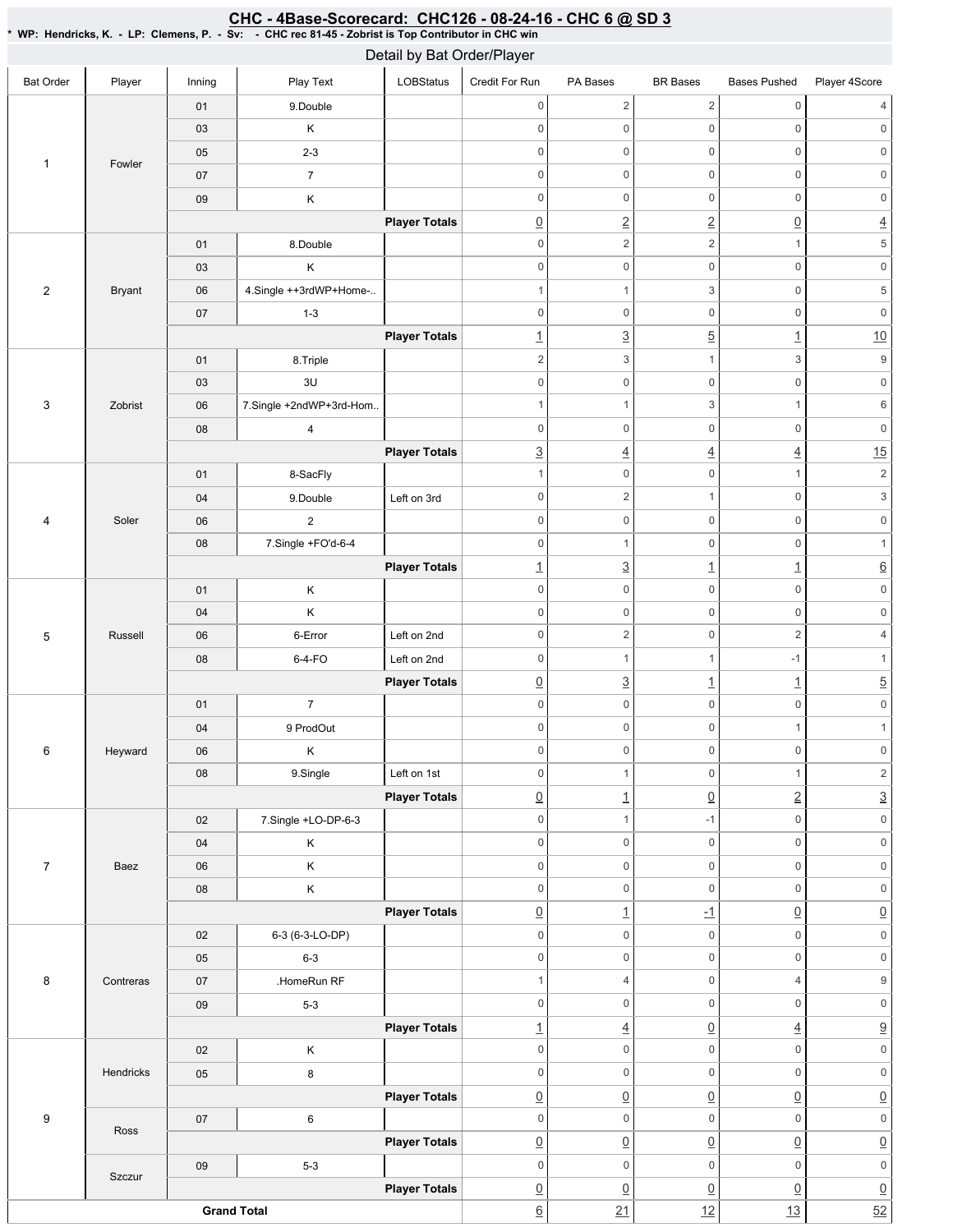|                  |               |        |                         | Detail by Bat Order/Player |                              |                     |                                |                     |               |
|------------------|---------------|--------|-------------------------|----------------------------|------------------------------|---------------------|--------------------------------|---------------------|---------------|
| <b>Bat Order</b> | Player        | Inning | Play Text               | LOBStatus                  | Credit For Run               | PA Bases            | <b>BR</b> Bases                | <b>Bases Pushed</b> | Player 4Score |
|                  |               | 01     | 9.Double                |                            | $\mathbf 0$                  | $\overline{c}$      | $\sqrt{2}$                     | 0                   |               |
|                  |               | 03     | Κ                       |                            | $\mathsf{O}\xspace$          | $\mathsf{O}\xspace$ | $\mathbf 0$                    | $\mathsf 0$         |               |
|                  |               | 05     | $2 - 3$                 |                            | $\mathbf 0$                  | $\mathsf{O}\xspace$ | $\mathsf 0$                    | $\mathsf{O}\xspace$ |               |
| $\mathbf{1}$     | Fowler        | 07     | $\overline{7}$          |                            | $\mathbf 0$                  | $\mathsf{O}\xspace$ | $\mathsf 0$                    | $\mathsf{O}\xspace$ |               |
|                  |               | 09     | Κ                       |                            | $\mathbf 0$                  | $\mathsf{O}\xspace$ | $\mathsf 0$                    | $\mathsf{O}\xspace$ |               |
|                  |               |        |                         | <b>Player Totals</b>       | $\underline{0}$              | $\overline{2}$      | $\overline{2}$                 | $\underline{0}$     |               |
|                  |               | 01     | 8.Double                |                            | $\mathsf 0$                  | $\overline{2}$      | $\overline{2}$                 | $\mathbf{1}$        |               |
|                  |               | 03     | Κ                       |                            | $\mathsf 0$                  | $\mathsf{O}\xspace$ | $\mathsf 0$                    | $\mathsf{O}\xspace$ |               |
| $\overline{2}$   | <b>Bryant</b> | 06     | 4.Single ++3rdWP+Home-  |                            | $\mathbf{1}$                 | $\mathbf{1}$        | $\ensuremath{\mathsf{3}}$      | $\mathsf{O}\xspace$ |               |
|                  |               | 07     | $1 - 3$                 |                            | $\mathbf 0$                  | $\mathsf{O}\xspace$ | $\mathsf 0$                    | $\mathsf{O}\xspace$ |               |
|                  |               |        |                         |                            |                              |                     |                                |                     |               |
|                  |               |        |                         | <b>Player Totals</b>       | $\overline{1}$<br>$\sqrt{2}$ | $\underline{3}$     | $\overline{5}$<br>$\mathbf{1}$ | $\overline{1}$<br>3 |               |
|                  |               | 01     | 8. Triple               |                            |                              | 3                   |                                |                     |               |
| 3                |               | 03     | 3U                      |                            | $\mathbf 0$                  | $\mathsf{O}\xspace$ | $\mathsf 0$                    | $\mathsf{O}\xspace$ |               |
|                  | Zobrist       | 06     | 7.Single +2ndWP+3rd-Hom |                            | $\mathbf{1}$                 | $\mathbf{1}$        | $\ensuremath{\mathsf{3}}$      | $\mathbf{1}$        |               |
|                  |               | 08     | $\pmb{4}$               |                            | $\mathsf{O}\xspace$          | $\mathsf{O}\xspace$ | $\mathsf 0$                    | $\mathsf{O}\xspace$ |               |
|                  |               |        |                         | <b>Player Totals</b>       | $\underline{3}$              | $\overline{4}$      | $\overline{4}$                 | $\underline{4}$     |               |
| 4                |               | 01     | 8-SacFly                |                            | $\mathbf{1}$                 | $\boldsymbol{0}$    | $\mathbf 0$                    | $\mathbf{1}$        |               |
|                  |               | 04     | 9.Double                | Left on 3rd                | $\mathbf 0$                  | $\sqrt{2}$          | $\mathbf{1}$                   | $\mathsf{O}\xspace$ |               |
|                  | Soler         | 06     | $\overline{2}$          |                            | $\mathbf 0$                  | $\boldsymbol{0}$    | $\mathbf 0$                    | $\mathsf{O}\xspace$ |               |
|                  |               | 08     | 7.Single +FO'd-6-4      |                            | $\mathsf{O}\xspace$          | 1                   | $\mathsf 0$                    | $\mathsf{O}\xspace$ |               |
|                  |               |        |                         | <b>Player Totals</b>       | $\underline{\mathbf{1}}$     | $\overline{3}$      | $\overline{1}$                 | $\overline{1}$      |               |
|                  |               | 01     | Κ                       |                            | $\mathbf 0$                  | $\mathsf{O}\xspace$ | $\mathbf 0$                    | $\mathbf 0$         |               |
|                  |               | 04     | Κ                       |                            | $\mathsf 0$                  | $\mathsf{O}\xspace$ | $\mathsf 0$                    | 0                   |               |
| 5                | Russell       | 06     | 6-Error                 | Left on 2nd                | $\mathbf 0$                  | $\sqrt{2}$          | $\mathsf 0$                    | $\overline{2}$      |               |
|                  |               | 08     | $6-4-FO$                | Left on 2nd                | $\mathsf 0$                  | $\mathbf{1}$        | $\mathbf{1}$                   | $-1$                |               |
|                  |               |        |                         | <b>Player Totals</b>       | $\underline{0}$              | $\overline{3}$      | <u>1</u>                       | $\overline{1}$      |               |
|                  |               | 01     | $\overline{7}$          |                            | $\Omega$                     | $\mathsf{O}\xspace$ | $\Omega$                       | 0                   |               |
|                  |               | 04     | 9 ProdOut               |                            | $\mathbf 0$                  | $\mathsf{O}\xspace$ | $\mathsf 0$                    | $\mathbf{1}$        |               |
| 6                | Heyward       | 06     | Κ                       |                            | $\overline{0}$               | $\mathsf{O}\xspace$ | $\mathsf{O}\xspace$            | $\mathsf{O}$        |               |
|                  |               | 08     | 9.Single                | Left on 1st                | $\overline{0}$               | $\mathbf{1}$        | $\mathsf 0$                    | $\mathbf{1}$        |               |
|                  |               |        |                         | <b>Player Totals</b>       | $\underline{0}$              | $\overline{1}$      | $\overline{0}$                 | $\underline{2}$     |               |
|                  |               | 02     | 7.Single +LO-DP-6-3     |                            | $\mathsf{O}\xspace$          | $\mathbf{1}$        | $-1$                           | $\mathbf 0$         |               |
|                  |               | 04     | Κ                       |                            | $\mathsf{O}\xspace$          | $\mathsf{O}\xspace$ | $\mathbf 0$                    | $\mathbf 0$         |               |
| $\overline{7}$   | Baez          | 06     | Κ                       |                            | $\mathsf{O}\xspace$          | $\mathsf{O}\xspace$ | $\mathbf 0$                    | $\mathbf 0$         |               |
|                  |               | 08     | Κ                       |                            | $\mathbf 0$                  | $\mathsf{O}\xspace$ | $\mathsf 0$                    | $\mathsf{O}\xspace$ |               |
|                  |               |        |                         | <b>Player Totals</b>       | $\underline{0}$              | $\overline{1}$      | $\overline{-1}$                | $\underline{0}$     |               |
|                  |               | 02     | 6-3 (6-3-LO-DP)         |                            | $\mathsf 0$                  | $\mathsf{O}\xspace$ | $\mathsf 0$                    | $\mathsf{O}\xspace$ |               |
|                  |               | 05     | $6 - 3$                 |                            | $\mathsf{O}\xspace$          | $\mathsf{O}\xspace$ | $\mathbf 0$                    | $\mathsf{O}\xspace$ |               |
| 8                | Contreras     | 07     | .HomeRun RF             |                            | 1                            | 4                   | $\mathsf 0$                    | $\overline{4}$      |               |
|                  |               | 09     | $5 - 3$                 |                            | $\mathsf{O}\xspace$          | $\mathsf{O}\xspace$ | $\mathbf 0$                    | $\mathsf{O}\xspace$ |               |
|                  |               |        |                         | <b>Player Totals</b>       | $\underline{\mathbf{1}}$     | $\overline{4}$      | $\overline{0}$                 | $\underline{4}$     |               |
|                  |               | 02     | Κ                       |                            | $\mathsf{O}\xspace$          | $\mathsf{O}\xspace$ | $\mathsf 0$                    | $\mathsf{O}$        |               |
|                  | Hendricks     | 05     | 8                       |                            | $\overline{0}$               | $\mathsf{O}\xspace$ | $\mathsf 0$                    | $\mathsf{O}\xspace$ |               |
|                  |               |        |                         | <b>Player Totals</b>       | $\underline{0}$              | $\underline{0}$     | $\underline{0}$                | $\underline{0}$     |               |
| 9                |               | 07     | $\,6$                   |                            | $\overline{0}$               | $\mathsf{O}\xspace$ | $\mathbf 0$                    | $\mathbf 0$         |               |
|                  | Ross          |        |                         | <b>Player Totals</b>       | $\underline{0}$              | $\underline{0}$     | $\overline{0}$                 | $\underline{0}$     |               |
|                  |               | 09     | $5 - 3$                 |                            | $\overline{0}$               | $\mathsf{O}\xspace$ | $\mathbf 0$                    | $\mathbf 0$         |               |
|                  | Szczur        |        |                         | <b>Player Totals</b>       | $\underline{0}$              | $\underline{0}$     | $\underline{0}$                | $\underline{0}$     |               |
|                  |               |        | <b>Grand Total</b>      |                            | $\underline{6}$              | 21                  | 12                             | 13                  |               |